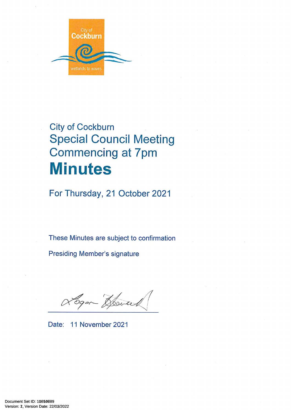

# **City of Cockburn Special Council Meeting Commencing at 7pm Minutes**

For Thursday, 21 October 2021

These Minutes are subject to confirmation

**Presiding Member's signature** 

Logan Howard

Date: 11 November 2021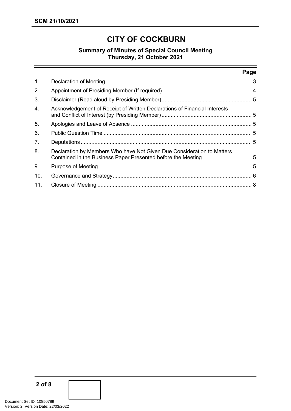# **CITY OF COCKBURN**

# **Summary of Minutes of Special Council Meeting Thursday, 21 October 2021**

#### **Page**

| 1.  |                                                                           |  |  |
|-----|---------------------------------------------------------------------------|--|--|
| 2.  |                                                                           |  |  |
| 3.  |                                                                           |  |  |
| 4.  | Acknowledgement of Receipt of Written Declarations of Financial Interests |  |  |
| 5.  |                                                                           |  |  |
| 6.  |                                                                           |  |  |
| 7.  |                                                                           |  |  |
| 8.  | Declaration by Members Who have Not Given Due Consideration to Matters    |  |  |
| 9.  |                                                                           |  |  |
| 10. |                                                                           |  |  |
| 11. |                                                                           |  |  |
|     |                                                                           |  |  |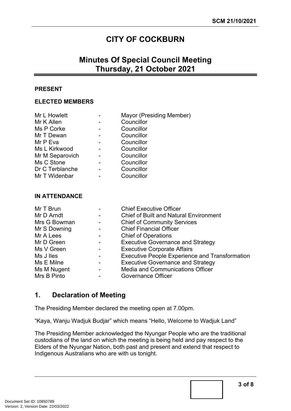# **CITY OF COCKBURN**

# **Minutes Of Special Council Meeting Thursday, 21 October 2021**

## **PRESENT**

#### **ELECTED MEMBERS**

| Mayor (Presiding Member) |
|--------------------------|
|                          |
|                          |
|                          |
|                          |
|                          |
|                          |
|                          |
|                          |
|                          |
|                          |

#### **IN ATTENDANCE**

| Mr T Brun    |                          | <b>Chief Executive Officer</b>                        |
|--------------|--------------------------|-------------------------------------------------------|
| Mr D Arndt   | $\sim$                   | <b>Chief of Built and Natural Environment</b>         |
| Mrs G Bowman | $\overline{\phantom{a}}$ | <b>Chief of Community Services</b>                    |
| Mr S Downing |                          | <b>Chief Financial Officer</b>                        |
| Mr A Lees    | $\blacksquare$           | <b>Chief of Operations</b>                            |
| Mr D Green   |                          | <b>Executive Governance and Strategy</b>              |
| Ms V Green   |                          | <b>Executive Corporate Affairs</b>                    |
| Ms J lles    | ۰                        | <b>Executive People Experience and Transformation</b> |
| Ms E Milne   |                          | <b>Executive Governance and Strategy</b>              |
| Ms M Nugent  |                          | <b>Media and Communications Officer</b>               |
| Mrs B Pinto  |                          | Governance Officer                                    |

# <span id="page-2-0"></span>**1. Declaration of Meeting**

The Presiding Member declared the meeting open at 7.00pm.

"Kaya, Wanju Wadjuk Budjar" which means "Hello, Welcome to Wadjuk Land"

The Presiding Member acknowledged the Nyungar People who are the traditional custodians of the land on which the meeting is being held and pay respect to the Elders of the Nyungar Nation, both past and present and extend that respect to Indigenous Australians who are with us tonight.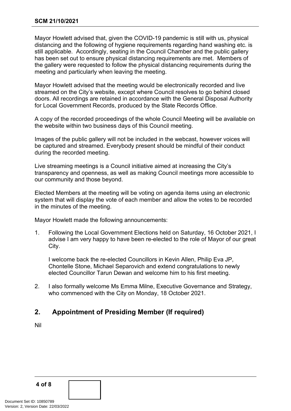Mayor Howlett advised that, given the COVID-19 pandemic is still with us, physical distancing and the following of hygiene requirements regarding hand washing etc. is still applicable. Accordingly, seating in the Council Chamber and the public gallery has been set out to ensure physical distancing requirements are met. Members of the gallery were requested to follow the physical distancing requirements during the meeting and particularly when leaving the meeting.

Mayor Howlett advised that the meeting would be electronically recorded and live streamed on the City's website, except where Council resolves to go behind closed doors. All recordings are retained in accordance with the General Disposal Authority for Local Government Records, produced by the State Records Office.

A copy of the recorded proceedings of the whole Council Meeting will be available on the website within two business days of this Council meeting.

Images of the public gallery will not be included in the webcast, however voices will be captured and streamed. Everybody present should be mindful of their conduct during the recorded meeting.

Live streaming meetings is a Council initiative aimed at increasing the City's transparency and openness, as well as making Council meetings more accessible to our community and those beyond.

Elected Members at the meeting will be voting on agenda items using an electronic system that will display the vote of each member and allow the votes to be recorded in the minutes of the meeting.

Mayor Howlett made the following announcements:

1. Following the Local Government Elections held on Saturday, 16 October 2021, I advise I am very happy to have been re-elected to the role of Mayor of our great City.

I welcome back the re-elected Councillors in Kevin Allen, Philip Eva JP, Chontelle Stone, Michael Separovich and extend congratulations to newly elected Councillor Tarun Dewan and welcome him to his first meeting.

2. I also formally welcome Ms Emma Milne, Executive Governance and Strategy, who commenced with the City on Monday, 18 October 2021.

# <span id="page-3-0"></span>**2. Appointment of Presiding Member (If required)**

Nil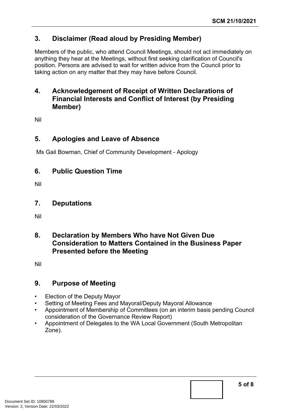# <span id="page-4-0"></span>**3. Disclaimer (Read aloud by Presiding Member)**

Members of the public, who attend Council Meetings, should not act immediately on anything they hear at the Meetings, without first seeking clarification of Council's position. Persons are advised to wait for written advice from the Council prior to taking action on any matter that they may have before Council.

# <span id="page-4-1"></span>**4. Acknowledgement of Receipt of Written Declarations of Financial Interests and Conflict of Interest (by Presiding Member)**

Nil

# <span id="page-4-2"></span>**5. Apologies and Leave of Absence**

Ms Gail Bowman, Chief of Community Development - Apology

# <span id="page-4-3"></span>**6. Public Question Time**

Nil

# <span id="page-4-4"></span>**7. Deputations**

Nil

# <span id="page-4-5"></span>**8. Declaration by Members Who have Not Given Due Consideration to Matters Contained in the Business Paper Presented before the Meeting**

Nil

# <span id="page-4-6"></span>**9. Purpose of Meeting**

- Election of the Deputy Mayor
- Setting of Meeting Fees and Mayoral/Deputy Mayoral Allowance
- Appointment of Membership of Committees (on an interim basis pending Council consideration of the Governance Review Report)
- Appointment of Delegates to the WA Local Government (South Metropolitan Zone).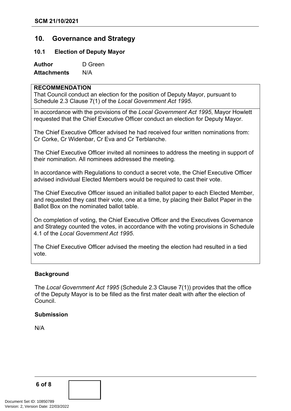# <span id="page-5-0"></span>**10. Governance and Strategy**

### **10.1 Election of Deputy Mayor**

**Author** D Green **Attachments** N/A

# **RECOMMENDATION**

That Council conduct an election for the position of Deputy Mayor, pursuant to Schedule 2.3 Clause 7(1) of the *Local Government Act 1995*.

In accordance with the provisions of the *Local Government Act 1995*, Mayor Howlett requested that the Chief Executive Officer conduct an election for Deputy Mayor.

The Chief Executive Officer advised he had received four written nominations from: Cr Corke, Cr Widenbar, Cr Eva and Cr Terblanche.

The Chief Executive Officer invited all nominees to address the meeting in support of their nomination. All nominees addressed the meeting.

In accordance with Regulations to conduct a secret vote, the Chief Executive Officer advised individual Elected Members would be required to cast their vote.

The Chief Executive Officer issued an initialled ballot paper to each Elected Member, and requested they cast their vote, one at a time, by placing their Ballot Paper in the Ballot Box on the nominated ballot table.

On completion of voting, the Chief Executive Officer and the Executives Governance and Strategy counted the votes, in accordance with the voting provisions in Schedule 4.1 of the *Local Government Act 1995*.

The Chief Executive Officer advised the meeting the election had resulted in a tied vote.

#### **Background**

The *Local Government Act 1995* (Schedule 2.3 Clause 7(1)) provides that the office of the Deputy Mayor is to be filled as the first mater dealt with after the election of Council.

#### **Submission**

N/A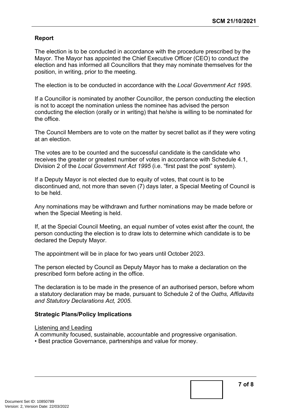## **Report**

The election is to be conducted in accordance with the procedure prescribed by the Mayor. The Mayor has appointed the Chief Executive Officer (CEO) to conduct the election and has informed all Councillors that they may nominate themselves for the position, in writing, prior to the meeting.

The election is to be conducted in accordance with the *Local Government Act 1995*.

If a Councillor is nominated by another Councillor, the person conducting the election is not to accept the nomination unless the nominee has advised the person conducting the election (orally or in writing) that he/she is willing to be nominated for the office.

The Council Members are to vote on the matter by secret ballot as if they were voting at an election.

The votes are to be counted and the successful candidate is the candidate who receives the greater or greatest number of votes in accordance with Schedule 4.1, Division 2 of the *Local Government Act 1995* (i.e. "first past the post" system).

If a Deputy Mayor is not elected due to equity of votes, that count is to be discontinued and, not more than seven (7) days later, a Special Meeting of Council is to be held.

Any nominations may be withdrawn and further nominations may be made before or when the Special Meeting is held.

If, at the Special Council Meeting, an equal number of votes exist after the count, the person conducting the election is to draw lots to determine which candidate is to be declared the Deputy Mayor.

The appointment will be in place for two years until October 2023.

The person elected by Council as Deputy Mayor has to make a declaration on the prescribed form before acting in the office.

The declaration is to be made in the presence of an authorised person, before whom a statutory declaration may be made, pursuant to Schedule 2 of the *Oaths, Affidavits and Statutory Declarations Act, 2005*.

## **Strategic Plans/Policy Implications**

#### Listening and Leading

A community focused, sustainable, accountable and progressive organisation.

• Best practice Governance, partnerships and value for money.